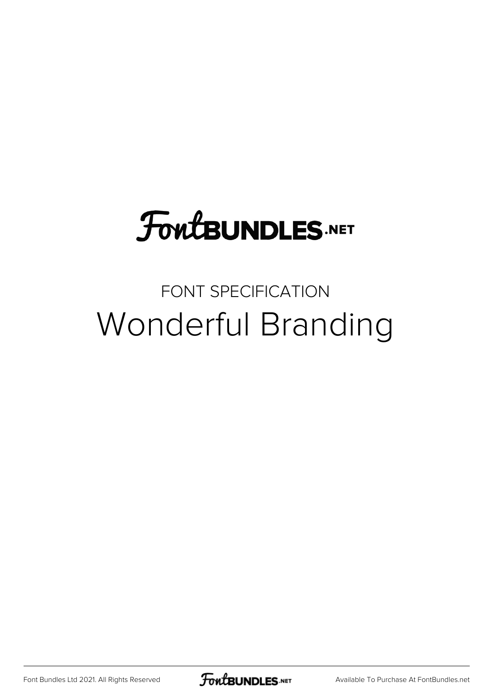## **FoutBUNDLES.NET**

## FONT SPECIFICATION Wonderful Branding

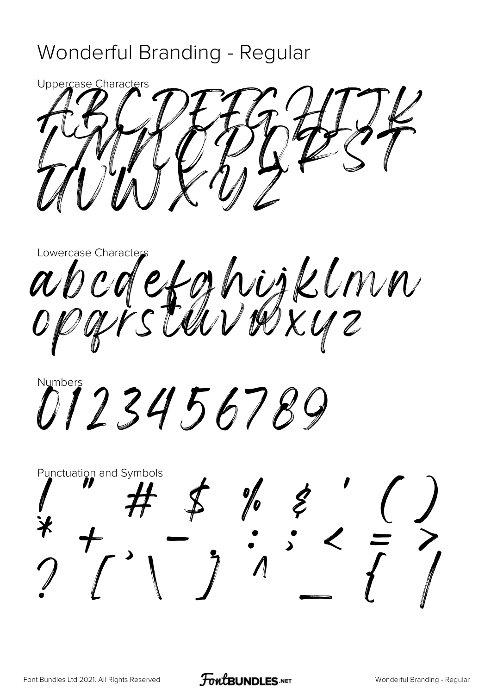## Wonderful Branding - Regular



Lowercase Character abcdefghijklnn

M123456789

**Punctuation and Symbols**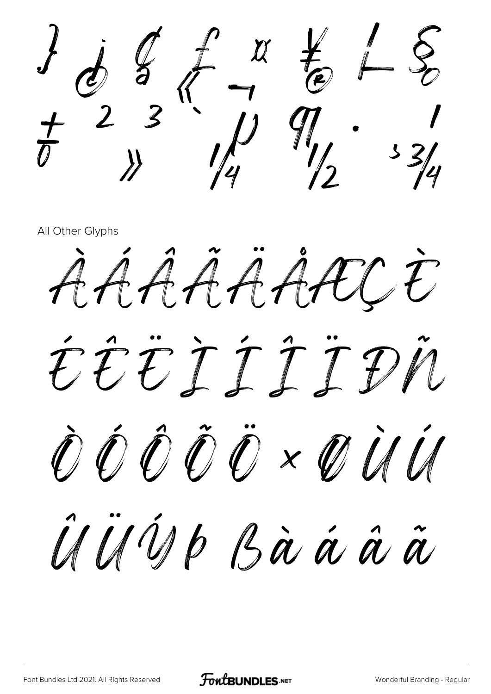$\begin{array}{cc} \mathcal{L} & \mathcal{L} & \mathcal{L} & \mathcal{L} \\ \mathcal{L} & \mathcal{L} & \mathcal{L} & \mathcal{L} \end{array}$  $\frac{3}{4}$   $\frac{1}{4}$   $\frac{1}{4}$   $\frac{9}{4}$   $\frac{3}{4}$ 

All Other Glyphs

AAAAAAACE ÉÊËÎÎÎÎPN ÒÓÔÔÖרÙÚ ÛÜÜD Bàaaa

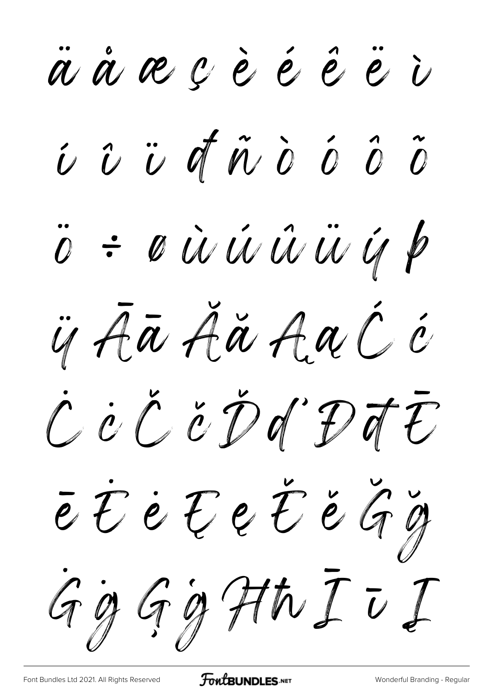a a a c è é é ë i i v ü d n d o d õ ö = oùüüüü q p is Aā Aă AaC é C C C C D D C D T T e E è E e E e G g Gg Gg Hh I v I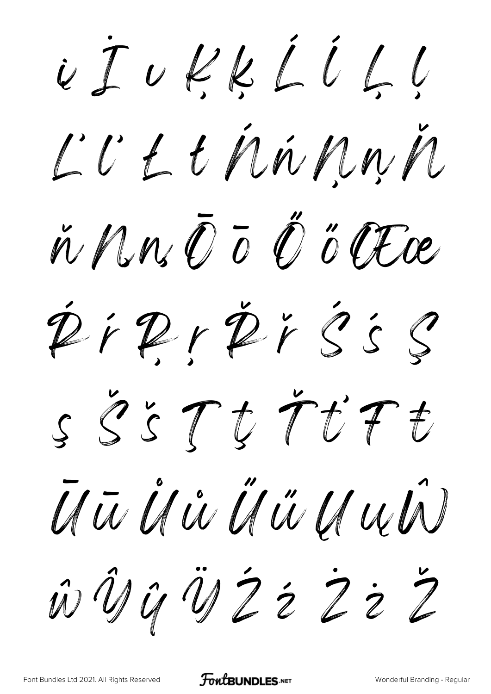i I u l l l i l l l L'U L E Min Mu M n Nrs O T O O CEce DiPrPrSSS SSSTUTUE UTA IS IS IS UN US UN w U G U Z z z z z Z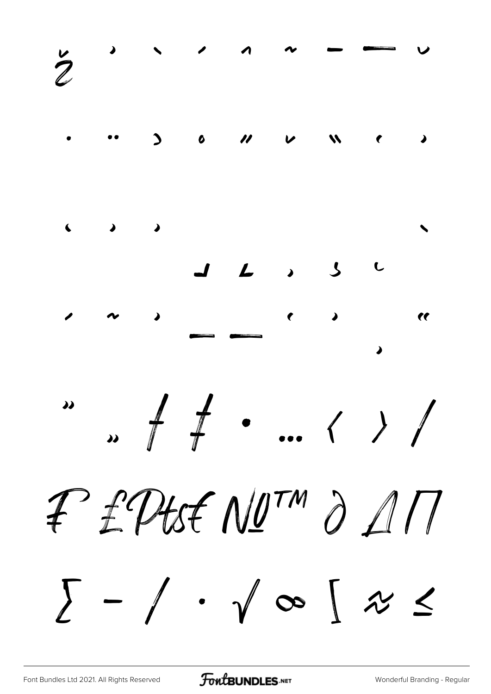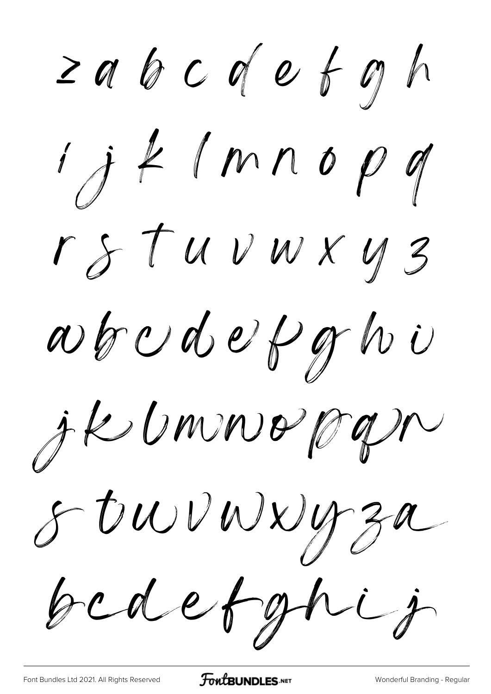≥  $i$  j  $k$  (mnop q r s t u v w x y 3 wbudefghi jk bruwergn s buvwuyza bedetghij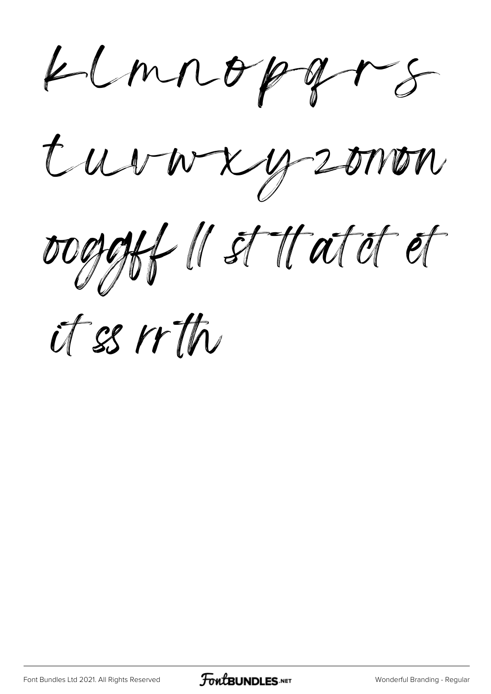$k$  mnoppars

t uvwxyzonon

ooggiff II st statet et